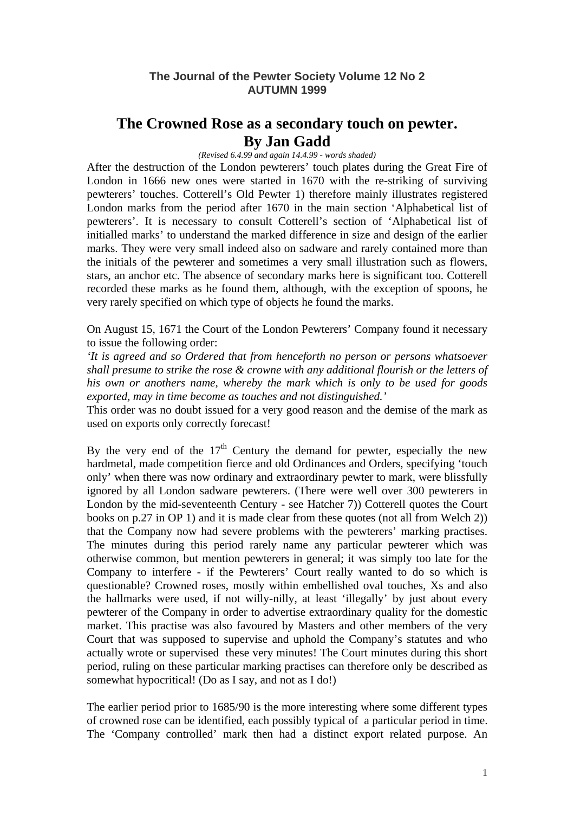## **The Journal of the Pewter Society Volume 12 No 2 AUTUMN 1999**

# **The Crowned Rose as a secondary touch on pewter. By Jan Gadd**

### *(Revised 6.4.99 and again 14.4.99 - words shaded)*

After the destruction of the London pewterers' touch plates during the Great Fire of London in 1666 new ones were started in 1670 with the re-striking of surviving pewterers' touches. Cotterell's Old Pewter 1) therefore mainly illustrates registered London marks from the period after 1670 in the main section 'Alphabetical list of pewterers'. It is necessary to consult Cotterell's section of 'Alphabetical list of initialled marks' to understand the marked difference in size and design of the earlier marks. They were very small indeed also on sadware and rarely contained more than the initials of the pewterer and sometimes a very small illustration such as flowers, stars, an anchor etc. The absence of secondary marks here is significant too. Cotterell recorded these marks as he found them, although, with the exception of spoons, he very rarely specified on which type of objects he found the marks.

On August 15, 1671 the Court of the London Pewterers' Company found it necessary to issue the following order:

*'It is agreed and so Ordered that from henceforth no person or persons whatsoever shall presume to strike the rose & crowne with any additional flourish or the letters of his own or anothers name, whereby the mark which is only to be used for goods exported, may in time become as touches and not distinguished.'* 

This order was no doubt issued for a very good reason and the demise of the mark as used on exports only correctly forecast!

By the very end of the  $17<sup>th</sup>$  Century the demand for pewter, especially the new hardmetal, made competition fierce and old Ordinances and Orders, specifying 'touch only' when there was now ordinary and extraordinary pewter to mark, were blissfully ignored by all London sadware pewterers. (There were well over 300 pewterers in London by the mid-seventeenth Century - see Hatcher 7)) Cotterell quotes the Court books on p.27 in OP 1) and it is made clear from these quotes (not all from Welch 2)) that the Company now had severe problems with the pewterers' marking practises. The minutes during this period rarely name any particular pewterer which was otherwise common, but mention pewterers in general; it was simply too late for the Company to interfere - if the Pewterers' Court really wanted to do so which is questionable? Crowned roses, mostly within embellished oval touches, Xs and also the hallmarks were used, if not willy-nilly, at least 'illegally' by just about every pewterer of the Company in order to advertise extraordinary quality for the domestic market. This practise was also favoured by Masters and other members of the very Court that was supposed to supervise and uphold the Company's statutes and who actually wrote or supervised these very minutes! The Court minutes during this short period, ruling on these particular marking practises can therefore only be described as somewhat hypocritical! (Do as I say, and not as I do!)

The earlier period prior to 1685/90 is the more interesting where some different types of crowned rose can be identified, each possibly typical of a particular period in time. The 'Company controlled' mark then had a distinct export related purpose. An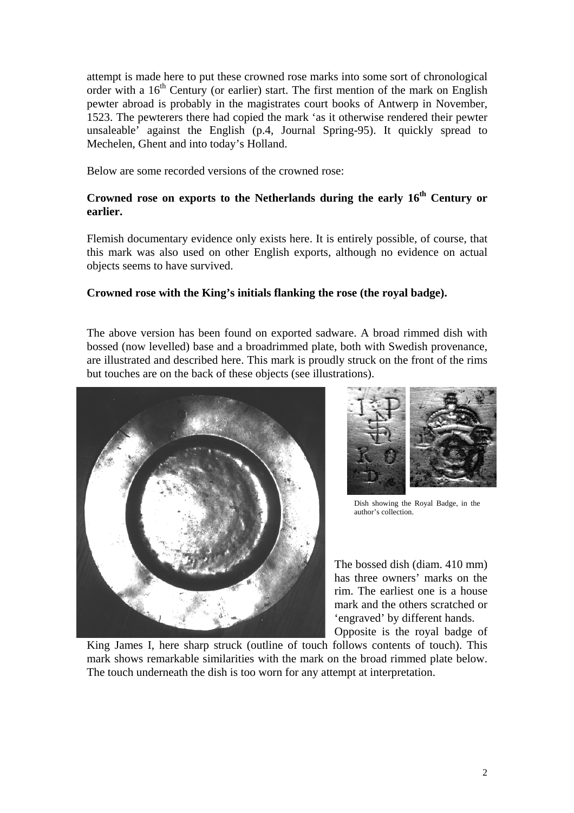attempt is made here to put these crowned rose marks into some sort of chronological order with a  $16<sup>th</sup>$  Century (or earlier) start. The first mention of the mark on English pewter abroad is probably in the magistrates court books of Antwerp in November, 1523. The pewterers there had copied the mark 'as it otherwise rendered their pewter unsaleable' against the English (p.4, Journal Spring-95). It quickly spread to Mechelen, Ghent and into today's Holland.

Below are some recorded versions of the crowned rose:

# **Crowned rose on exports to the Netherlands during the early 16th Century or earlier.**

Flemish documentary evidence only exists here. It is entirely possible, of course, that this mark was also used on other English exports, although no evidence on actual objects seems to have survived.

## **Crowned rose with the King's initials flanking the rose (the royal badge).**

The above version has been found on exported sadware. A broad rimmed dish with bossed (now levelled) base and a broadrimmed plate, both with Swedish provenance, are illustrated and described here. This mark is proudly struck on the front of the rims but touches are on the back of these objects (see illustrations).





Dish showing the Royal Badge, in the author's collection.

The bossed dish (diam. 410 mm) has three owners' marks on the rim. The earliest one is a house mark and the others scratched or 'engraved' by different hands. Opposite is the royal badge of

King James I, here sharp struck (outline of touch follows contents of touch). This mark shows remarkable similarities with the mark on the broad rimmed plate below. The touch underneath the dish is too worn for any attempt at interpretation.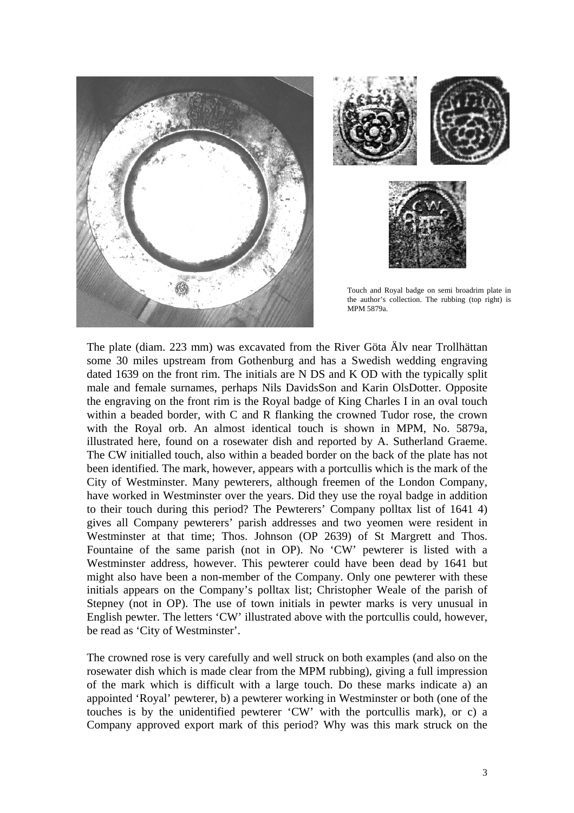



Touch and Royal badge on semi broadrim plate in the author's collection. The rubbing (top right) is MPM 5879a.

The plate (diam. 223 mm) was excavated from the River Göta Älv near Trollhättan some 30 miles upstream from Gothenburg and has a Swedish wedding engraving dated 1639 on the front rim. The initials are N DS and K OD with the typically split male and female surnames, perhaps Nils DavidsSon and Karin OlsDotter. Opposite the engraving on the front rim is the Royal badge of King Charles I in an oval touch within a beaded border, with C and R flanking the crowned Tudor rose, the crown with the Royal orb. An almost identical touch is shown in MPM, No. 5879a, illustrated here, found on a rosewater dish and reported by A. Sutherland Graeme. The CW initialled touch, also within a beaded border on the back of the plate has not been identified. The mark, however, appears with a portcullis which is the mark of the City of Westminster. Many pewterers, although freemen of the London Company, have worked in Westminster over the years. Did they use the royal badge in addition to their touch during this period? The Pewterers' Company polltax list of 1641 4) gives all Company pewterers' parish addresses and two yeomen were resident in Westminster at that time; Thos. Johnson (OP 2639) of St Margrett and Thos. Fountaine of the same parish (not in OP). No 'CW' pewterer is listed with a Westminster address, however. This pewterer could have been dead by 1641 but might also have been a non-member of the Company. Only one pewterer with these initials appears on the Company's polltax list; Christopher Weale of the parish of Stepney (not in OP). The use of town initials in pewter marks is very unusual in English pewter. The letters 'CW' illustrated above with the portcullis could, however, be read as 'City of Westminster'.

The crowned rose is very carefully and well struck on both examples (and also on the rosewater dish which is made clear from the MPM rubbing), giving a full impression of the mark which is difficult with a large touch. Do these marks indicate a) an appointed 'Royal' pewterer, b) a pewterer working in Westminster or both (one of the touches is by the unidentified pewterer 'CW' with the portcullis mark), or c) a Company approved export mark of this period? Why was this mark struck on the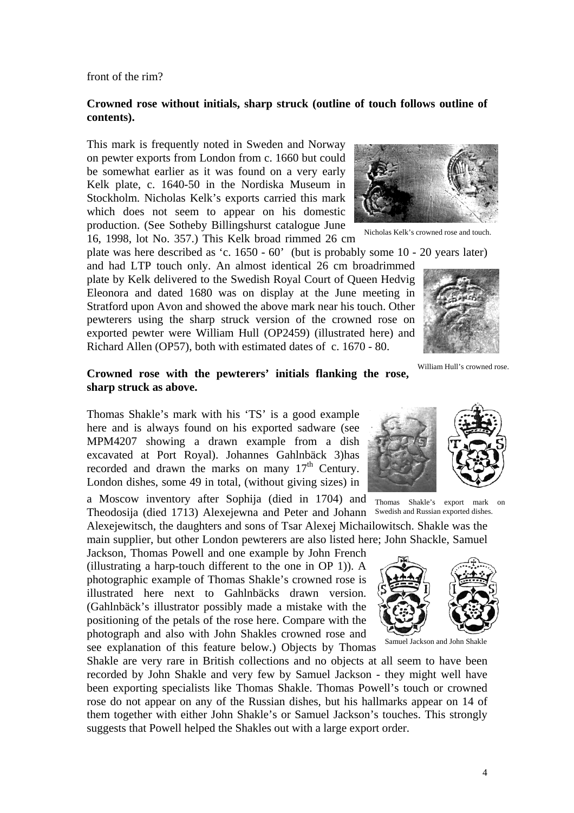front of the rim?

## **Crowned rose without initials, sharp struck (outline of touch follows outline of contents).**

This mark is frequently noted in Sweden and Norway on pewter exports from London from c. 1660 but could be somewhat earlier as it was found on a very early Kelk plate, c. 1640-50 in the Nordiska Museum in Stockholm. Nicholas Kelk's exports carried this mark which does not seem to appear on his domestic production. (See Sotheby Billingshurst catalogue June 16, 1998, lot No. 357.) This Kelk broad rimmed 26 cm



Nicholas Kelk's crowned rose and touch.

plate was here described as 'c. 1650 - 60' (but is probably some 10 - 20 years later) and had LTP touch only. An almost identical 26 cm broadrimmed

plate by Kelk delivered to the Swedish Royal Court of Queen Hedvig Eleonora and dated 1680 was on display at the June meeting in Stratford upon Avon and showed the above mark near his touch. Other pewterers using the sharp struck version of the crowned rose on exported pewter were William Hull (OP2459) (illustrated here) and Richard Allen (OP57), both with estimated dates of c. 1670 - 80.



William Hull's crowned rose.

## **Crowned rose with the pewterers' initials flanking the rose, sharp struck as above.**

Thomas Shakle's mark with his 'TS' is a good example here and is always found on his exported sadware (see MPM4207 showing a drawn example from a dish excavated at Port Royal). Johannes Gahlnbäck 3)has recorded and drawn the marks on many  $17<sup>th</sup>$  Century. London dishes, some 49 in total, (without giving sizes) in

a Moscow inventory after Sophija (died in 1704) and Theodosija (died 1713) Alexejewna and Peter and Johann

Alexejewitsch, the daughters and sons of Tsar Alexej Michailowitsch. Shakle was the main supplier, but other London pewterers are also listed here; John Shackle, Samuel

Jackson, Thomas Powell and one example by John French (illustrating a harp-touch different to the one in OP 1)). A photographic example of Thomas Shakle's crowned rose is illustrated here next to Gahlnbäcks drawn version. (Gahlnbäck's illustrator possibly made a mistake with the positioning of the petals of the rose here. Compare with the photograph and also with John Shakles crowned rose and see explanation of this feature below.) Objects by Thomas

Shakle are very rare in British collections and no objects at all seem to have been recorded by John Shakle and very few by Samuel Jackson - they might well have been exporting specialists like Thomas Shakle. Thomas Powell's touch or crowned rose do not appear on any of the Russian dishes, but his hallmarks appear on 14 of them together with either John Shakle's or Samuel Jackson's touches. This strongly suggests that Powell helped the Shakles out with a large export order.



Thomas Shakle's export mark on Swedish and Russian exported dishes.



Samuel Jackson and John Shakle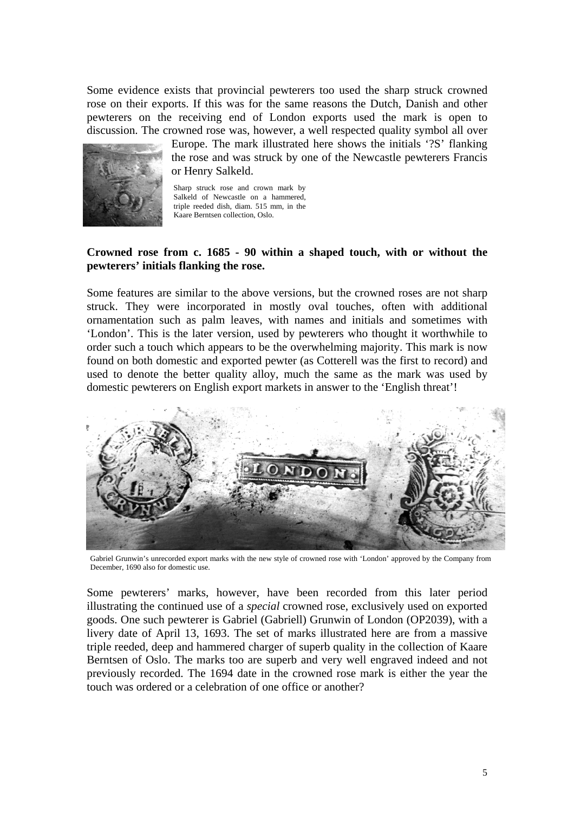Some evidence exists that provincial pewterers too used the sharp struck crowned rose on their exports. If this was for the same reasons the Dutch, Danish and other pewterers on the receiving end of London exports used the mark is open to discussion. The crowned rose was, however, a well respected quality symbol all over



Europe. The mark illustrated here shows the initials '?S' flanking the rose and was struck by one of the Newcastle pewterers Francis or Henry Salkeld.

Sharp struck rose and crown mark by Salkeld of Newcastle on a hammered, triple reeded dish, diam. 515 mm, in the Kaare Berntsen collection, Oslo.

## **Crowned rose from c. 1685 - 90 within a shaped touch, with or without the pewterers' initials flanking the rose.**

Some features are similar to the above versions, but the crowned roses are not sharp struck. They were incorporated in mostly oval touches, often with additional ornamentation such as palm leaves, with names and initials and sometimes with 'London'. This is the later version, used by pewterers who thought it worthwhile to order such a touch which appears to be the overwhelming majority. This mark is now found on both domestic and exported pewter (as Cotterell was the first to record) and used to denote the better quality alloy, much the same as the mark was used by domestic pewterers on English export markets in answer to the 'English threat'!



Gabriel Grunwin's unrecorded export marks with the new style of crowned rose with 'London' approved by the Company from December, 1690 also for domestic use.

Some pewterers' marks, however, have been recorded from this later period illustrating the continued use of a *special* crowned rose, exclusively used on exported goods. One such pewterer is Gabriel (Gabriell) Grunwin of London (OP2039), with a livery date of April 13, 1693. The set of marks illustrated here are from a massive triple reeded, deep and hammered charger of superb quality in the collection of Kaare Berntsen of Oslo. The marks too are superb and very well engraved indeed and not previously recorded. The 1694 date in the crowned rose mark is either the year the touch was ordered or a celebration of one office or another?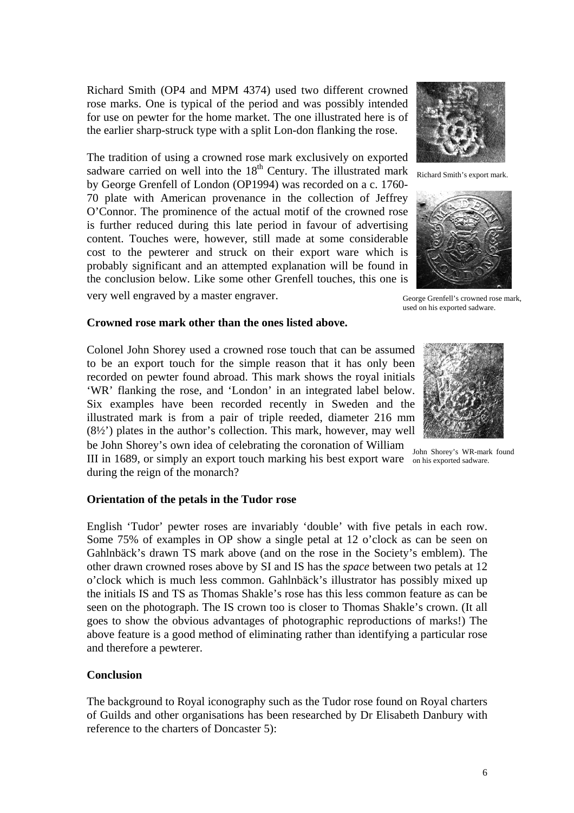Richard Smith (OP4 and MPM 4374) used two different crowned rose marks. One is typical of the period and was possibly intended for use on pewter for the home market. The one illustrated here is of the earlier sharp-struck type with a split Lon-don flanking the rose.

The tradition of using a crowned rose mark exclusively on exported sadware carried on well into the  $18<sup>th</sup>$  Century. The illustrated mark by George Grenfell of London (OP1994) was recorded on a c. 1760- 70 plate with American provenance in the collection of Jeffrey O'Connor. The prominence of the actual motif of the crowned rose is further reduced during this late period in favour of advertising content. Touches were, however, still made at some considerable cost to the pewterer and struck on their export ware which is probably significant and an attempted explanation will be found in the conclusion below. Like some other Grenfell touches, this one is

very well engraved by a master engraver.



Richard Smith's export mark.



George Grenfell's crowned rose mark, used on his exported sadware.

#### **Crowned rose mark other than the ones listed above.**

Colonel John Shorey used a crowned rose touch that can be assumed to be an export touch for the simple reason that it has only been recorded on pewter found abroad. This mark shows the royal initials 'WR' flanking the rose, and 'London' in an integrated label below. Six examples have been recorded recently in Sweden and the illustrated mark is from a pair of triple reeded, diameter 216 mm (8½') plates in the author's collection. This mark, however, may well

be John Shorey's own idea of celebrating the coronation of William John Shorey's WR-mark found III in 1689, or simply an export touch marking his best export ware on his exported sadware. during the reign of the monarch?

#### **Orientation of the petals in the Tudor rose**

English 'Tudor' pewter roses are invariably 'double' with five petals in each row. Some 75% of examples in OP show a single petal at 12 o'clock as can be seen on Gahlnbäck's drawn TS mark above (and on the rose in the Society's emblem). The other drawn crowned roses above by SI and IS has the *space* between two petals at 12 o'clock which is much less common. Gahlnbäck's illustrator has possibly mixed up the initials IS and TS as Thomas Shakle's rose has this less common feature as can be seen on the photograph. The IS crown too is closer to Thomas Shakle's crown. (It all goes to show the obvious advantages of photographic reproductions of marks!) The above feature is a good method of eliminating rather than identifying a particular rose and therefore a pewterer.

#### **Conclusion**

The background to Royal iconography such as the Tudor rose found on Royal charters of Guilds and other organisations has been researched by Dr Elisabeth Danbury with reference to the charters of Doncaster 5):

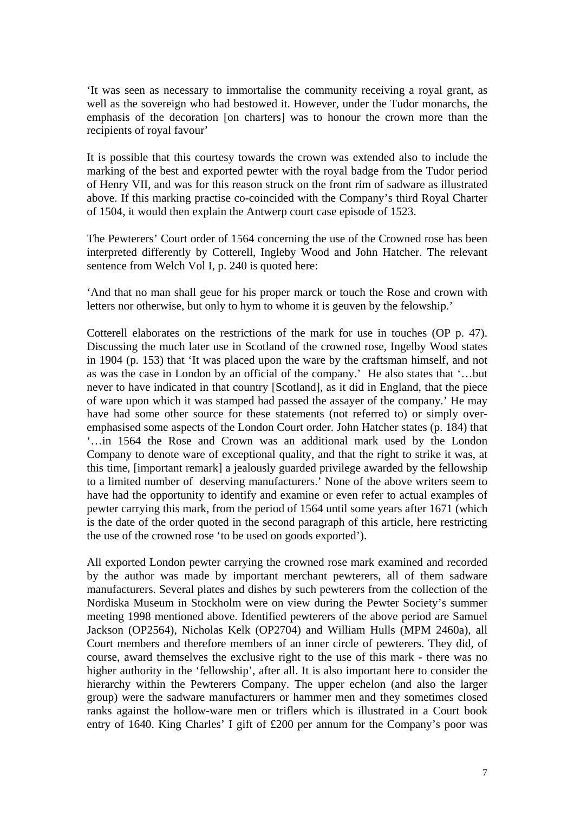'It was seen as necessary to immortalise the community receiving a royal grant, as well as the sovereign who had bestowed it. However, under the Tudor monarchs, the emphasis of the decoration [on charters] was to honour the crown more than the recipients of royal favour'

It is possible that this courtesy towards the crown was extended also to include the marking of the best and exported pewter with the royal badge from the Tudor period of Henry VII, and was for this reason struck on the front rim of sadware as illustrated above. If this marking practise co-coincided with the Company's third Royal Charter of 1504, it would then explain the Antwerp court case episode of 1523.

The Pewterers' Court order of 1564 concerning the use of the Crowned rose has been interpreted differently by Cotterell, Ingleby Wood and John Hatcher. The relevant sentence from Welch Vol I, p. 240 is quoted here:

'And that no man shall geue for his proper marck or touch the Rose and crown with letters nor otherwise, but only to hym to whome it is geuven by the felowship.'

Cotterell elaborates on the restrictions of the mark for use in touches (OP p. 47). Discussing the much later use in Scotland of the crowned rose, Ingelby Wood states in 1904 (p. 153) that 'It was placed upon the ware by the craftsman himself, and not as was the case in London by an official of the company.' He also states that '…but never to have indicated in that country [Scotland], as it did in England, that the piece of ware upon which it was stamped had passed the assayer of the company.' He may have had some other source for these statements (not referred to) or simply overemphasised some aspects of the London Court order. John Hatcher states (p. 184) that '…in 1564 the Rose and Crown was an additional mark used by the London Company to denote ware of exceptional quality, and that the right to strike it was, at this time, [important remark] a jealously guarded privilege awarded by the fellowship to a limited number of deserving manufacturers.' None of the above writers seem to have had the opportunity to identify and examine or even refer to actual examples of pewter carrying this mark, from the period of 1564 until some years after 1671 (which is the date of the order quoted in the second paragraph of this article, here restricting the use of the crowned rose 'to be used on goods exported').

All exported London pewter carrying the crowned rose mark examined and recorded by the author was made by important merchant pewterers, all of them sadware manufacturers. Several plates and dishes by such pewterers from the collection of the Nordiska Museum in Stockholm were on view during the Pewter Society's summer meeting 1998 mentioned above. Identified pewterers of the above period are Samuel Jackson (OP2564), Nicholas Kelk (OP2704) and William Hulls (MPM 2460a), all Court members and therefore members of an inner circle of pewterers. They did, of course, award themselves the exclusive right to the use of this mark - there was no higher authority in the 'fellowship', after all. It is also important here to consider the hierarchy within the Pewterers Company. The upper echelon (and also the larger group) were the sadware manufacturers or hammer men and they sometimes closed ranks against the hollow-ware men or triflers which is illustrated in a Court book entry of 1640. King Charles' I gift of £200 per annum for the Company's poor was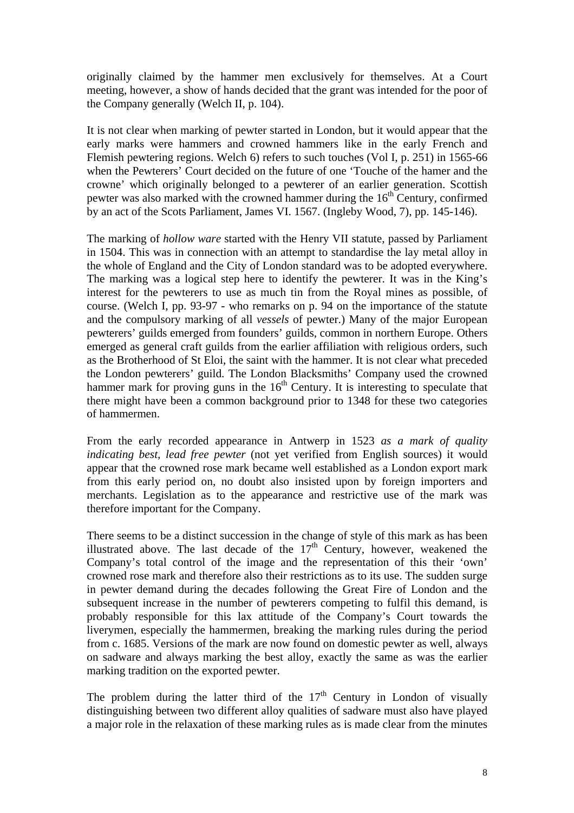originally claimed by the hammer men exclusively for themselves. At a Court meeting, however, a show of hands decided that the grant was intended for the poor of the Company generally (Welch II, p. 104).

It is not clear when marking of pewter started in London, but it would appear that the early marks were hammers and crowned hammers like in the early French and Flemish pewtering regions. Welch 6) refers to such touches (Vol I, p. 251) in 1565-66 when the Pewterers' Court decided on the future of one 'Touche of the hamer and the crowne' which originally belonged to a pewterer of an earlier generation. Scottish pewter was also marked with the crowned hammer during the  $16<sup>th</sup>$  Century, confirmed by an act of the Scots Parliament, James VI. 1567. (Ingleby Wood, 7), pp. 145-146).

The marking of *hollow ware* started with the Henry VII statute, passed by Parliament in 1504. This was in connection with an attempt to standardise the lay metal alloy in the whole of England and the City of London standard was to be adopted everywhere. The marking was a logical step here to identify the pewterer. It was in the King's interest for the pewterers to use as much tin from the Royal mines as possible, of course. (Welch I, pp. 93-97 - who remarks on p. 94 on the importance of the statute and the compulsory marking of all *vessels* of pewter.) Many of the major European pewterers' guilds emerged from founders' guilds, common in northern Europe. Others emerged as general craft guilds from the earlier affiliation with religious orders, such as the Brotherhood of St Eloi, the saint with the hammer. It is not clear what preceded the London pewterers' guild. The London Blacksmiths' Company used the crowned hammer mark for proving guns in the  $16<sup>th</sup>$  Century. It is interesting to speculate that there might have been a common background prior to 1348 for these two categories of hammermen.

From the early recorded appearance in Antwerp in 1523 *as a mark of quality indicating best, lead free pewter* (not yet verified from English sources) it would appear that the crowned rose mark became well established as a London export mark from this early period on, no doubt also insisted upon by foreign importers and merchants. Legislation as to the appearance and restrictive use of the mark was therefore important for the Company.

There seems to be a distinct succession in the change of style of this mark as has been illustrated above. The last decade of the  $17<sup>th</sup>$  Century, however, weakened the Company's total control of the image and the representation of this their 'own' crowned rose mark and therefore also their restrictions as to its use. The sudden surge in pewter demand during the decades following the Great Fire of London and the subsequent increase in the number of pewterers competing to fulfil this demand, is probably responsible for this lax attitude of the Company's Court towards the liverymen, especially the hammermen, breaking the marking rules during the period from c. 1685. Versions of the mark are now found on domestic pewter as well, always on sadware and always marking the best alloy, exactly the same as was the earlier marking tradition on the exported pewter.

The problem during the latter third of the  $17<sup>th</sup>$  Century in London of visually distinguishing between two different alloy qualities of sadware must also have played a major role in the relaxation of these marking rules as is made clear from the minutes